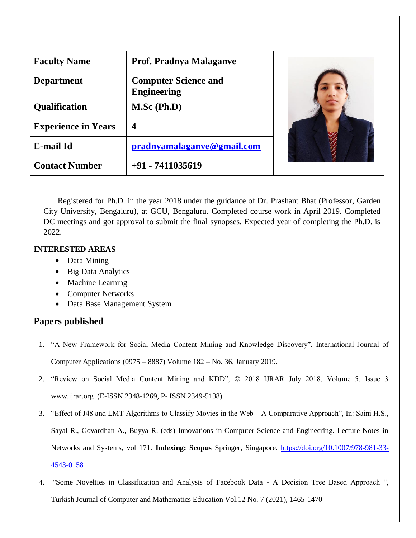| <b>Faculty Name</b>        | <b>Prof. Pradnya Malaganve</b>                    |  |
|----------------------------|---------------------------------------------------|--|
| <b>Department</b>          | <b>Computer Science and</b><br><b>Engineering</b> |  |
| <b>Qualification</b>       | $M.Sc$ (Ph.D)                                     |  |
| <b>Experience in Years</b> | 4                                                 |  |
| <b>E-mail Id</b>           | pradnyamalaganve@gmail.com                        |  |
| <b>Contact Number</b>      | $+91 - 7411035619$                                |  |

Registered for Ph.D. in the year 2018 under the guidance of Dr. Prashant Bhat (Professor, Garden City University, Bengaluru), at GCU, Bengaluru. Completed course work in April 2019. Completed DC meetings and got approval to submit the final synopses. Expected year of completing the Ph.D. is 2022.

## **INTERESTED AREAS**

- Data Mining
- Big Data Analytics
- Machine Learning
- Computer Networks
- Data Base Management System

## **Papers published**

- 1. "A New Framework for Social Media Content Mining and Knowledge Discovery", International Journal of Computer Applications (0975 – 8887) Volume 182 – No. 36, January 2019.
- 2. "Review on Social Media Content Mining and KDD", © 2018 IJRAR July 2018, Volume 5, Issue 3 www.ijrar.org (E-ISSN 2348-1269, P- ISSN 2349-5138).
- 3. "Effect of J48 and LMT Algorithms to Classify Movies in the Web—A Comparative Approach", In: Saini H.S., Sayal R., Govardhan A., Buyya R. (eds) Innovations in Computer Science and Engineering. Lecture Notes in Networks and Systems, vol 171. **Indexing: Scopus** Springer, Singapore. [https://doi.org/10.1007/978-981-33-](https://doi.org/10.1007/978-981-33-4543-0_58) [4543-0\\_58](https://doi.org/10.1007/978-981-33-4543-0_58)
- 4. "Some Novelties in Classification and Analysis of Facebook Data A Decision Tree Based Approach ", Turkish Journal of Computer and Mathematics Education Vol.12 No. 7 (2021), 1465-1470